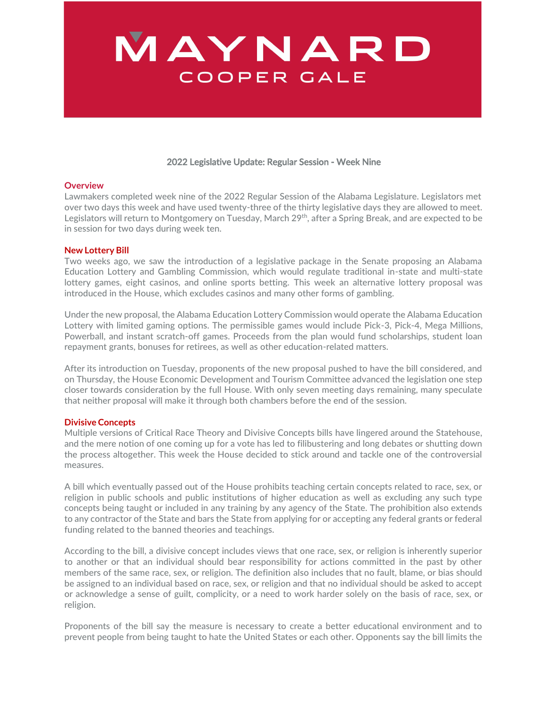# MAYNARD COOPER GALE

### 2022 Legislative Update: Regular Session - Week Nine

#### **Overview**

Lawmakers completed week nine of the 2022 Regular Session of the Alabama Legislature. Legislators met over two days this week and have used twenty-three of the thirty legislative days they are allowed to meet. Legislators will return to Montgomery on Tuesday, March 29<sup>th</sup>, after a Spring Break, and are expected to be in session for two days during week ten.

#### **New Lottery Bill**

Two weeks ago, we saw the introduction of a legislative package in the Senate proposing an Alabama Education Lottery and Gambling Commission, which would regulate traditional in-state and multi-state lottery games, eight casinos, and online sports betting. This week an alternative lottery proposal was introduced in the House, which excludes casinos and many other forms of gambling.

Under the new proposal, the Alabama Education Lottery Commission would operate the Alabama Education Lottery with limited gaming options. The permissible games would include Pick-3, Pick-4, Mega Millions, Powerball, and instant scratch-off games. Proceeds from the plan would fund scholarships, student loan repayment grants, bonuses for retirees, as well as other education-related matters.

After its introduction on Tuesday, proponents of the new proposal pushed to have the bill considered, and on Thursday, the House Economic Development and Tourism Committee advanced the legislation one step closer towards consideration by the full House. With only seven meeting days remaining, many speculate that neither proposal will make it through both chambers before the end of the session.

#### **Divisive Concepts**

Multiple versions of Critical Race Theory and Divisive Concepts bills have lingered around the Statehouse, and the mere notion of one coming up for a vote has led to filibustering and long debates or shutting down the process altogether. This week the House decided to stick around and tackle one of the controversial measures.

A bill which eventually passed out of the House prohibits teaching certain concepts related to race, sex, or religion in public schools and public institutions of higher education as well as excluding any such type concepts being taught or included in any training by any agency of the State. The prohibition also extends to any contractor of the State and bars the State from applying for or accepting any federal grants or federal funding related to the banned theories and teachings.

According to the bill, a divisive concept includes views that one race, sex, or religion is inherently superior to another or that an individual should bear responsibility for actions committed in the past by other members of the same race, sex, or religion. The definition also includes that no fault, blame, or bias should be assigned to an individual based on race, sex, or religion and that no individual should be asked to accept or acknowledge a sense of guilt, complicity, or a need to work harder solely on the basis of race, sex, or religion.

Proponents of the bill say the measure is necessary to create a better educational environment and to prevent people from being taught to hate the United States or each other. Opponents say the bill limits the